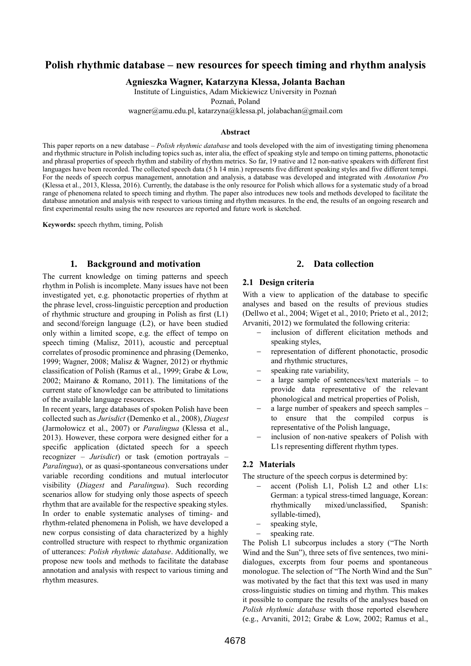# **Polish rhythmic database – new resources for speech timing and rhythm analysis**

**Agnieszka Wagner, Katarzyna Klessa, Jolanta Bachan**

Institute of Linguistics, Adam Mickiewicz University in Poznań

Poznań, Poland

wagner@amu.edu.pl, katarzyna@klessa.pl, jolabachan@gmail.com

#### **Abstract**

This paper reports on a new database – *Polish rhythmic database* and tools developed with the aim of investigating timing phenomena and rhythmic structure in Polish including topics such as, inter alia, the effect of speaking style and tempo on timing patterns, phonotactic and phrasal properties of speech rhythm and stability of rhythm metrics. So far, 19 native and 12 non-native speakers with different first languages have been recorded. The collected speech data (5 h 14 min.) represents five different speaking styles and five different tempi. For the needs of speech corpus management, annotation and analysis, a database was developed and integrated with *Annotation Pro* (Klessa et al., 2013, Klessa, 2016). Currently, the database is the only resource for Polish which allows for a systematic study of a broad range of phenomena related to speech timing and rhythm. The paper also introduces new tools and methods developed to facilitate the database annotation and analysis with respect to various timing and rhythm measures. In the end, the results of an ongoing research and first experimental results using the new resources are reported and future work is sketched.

**Keywords:** speech rhythm, timing, Polish

### **1. Background and motivation**

The current knowledge on timing patterns and speech rhythm in Polish is incomplete. Many issues have not been investigated yet, e.g. phonotactic properties of rhythm at the phrase level, cross-linguistic perception and production of rhythmic structure and grouping in Polish as first (L1) and second/foreign language (L2), or have been studied only within a limited scope, e.g. the effect of tempo on speech timing (Malisz, 2011), acoustic and perceptual correlates of prosodic prominence and phrasing (Demenko, 1999; Wagner, 2008; Malisz & Wagner, 2012) or rhythmic classification of Polish (Ramus et al., 1999; Grabe & Low, 2002; Mairano & Romano, 2011). The limitations of the current state of knowledge can be attributed to limitations of the available language resources.

In recent years, large databases of spoken Polish have been collected such as *Jurisdict* (Demenko et al., 2008), *Diagest*  (Jarmołowicz et al., 2007) or *Paralingua* (Klessa et al., 2013). However, these corpora were designed either for a specific application (dictated speech for a speech recognizer – *Jurisdict*) or task (emotion portrayals – *Paralingua*), or as quasi-spontaneous conversations under variable recording conditions and mutual interlocutor visibility (*Diagest* and *Paralingua*). Such recording scenarios allow for studying only those aspects of speech rhythm that are available for the respective speaking styles. In order to enable systematic analyses of timing- and rhythm-related phenomena in Polish, we have developed a new corpus consisting of data characterized by a highly controlled structure with respect to rhythmic organization of utterances: *Polish rhythmic database*. Additionally, we propose new tools and methods to facilitate the database annotation and analysis with respect to various timing and rhythm measures.

### **2. Data collection**

#### **2.1 Design criteria**

With a view to application of the database to specific analyses and based on the results of previous studies (Dellwo et al., 2004; Wiget et al., 2010; Prieto et al., 2012; Arvaniti, 2012) we formulated the following criteria:

- inclusion of different elicitation methods and speaking styles,
- representation of different phonotactic, prosodic and rhythmic structures,
- speaking rate variability,
- a large sample of sentences/text materials to provide data representative of the relevant phonological and metrical properties of Polish,
- a large number of speakers and speech samples to ensure that the compiled corpus is representative of the Polish language,
- inclusion of non-native speakers of Polish with L1s representing different rhythm types.

#### **2.2 Materials**

The structure of the speech corpus is determined by:

- accent (Polish L1, Polish L2 and other L1s: German: a typical stress-timed language, Korean: rhythmically mixed/unclassified, Spanish: syllable-timed),
- speaking style,
- speaking rate.

The Polish L1 subcorpus includes a story ("The North Wind and the Sun"), three sets of five sentences, two minidialogues, excerpts from four poems and spontaneous monologue. The selection of "The North Wind and the Sun" was motivated by the fact that this text was used in many cross-linguistic studies on timing and rhythm. This makes it possible to compare the results of the analyses based on *Polish rhythmic database* with those reported elsewhere (e.g., Arvaniti, 2012; Grabe & Low, 2002; Ramus et al.,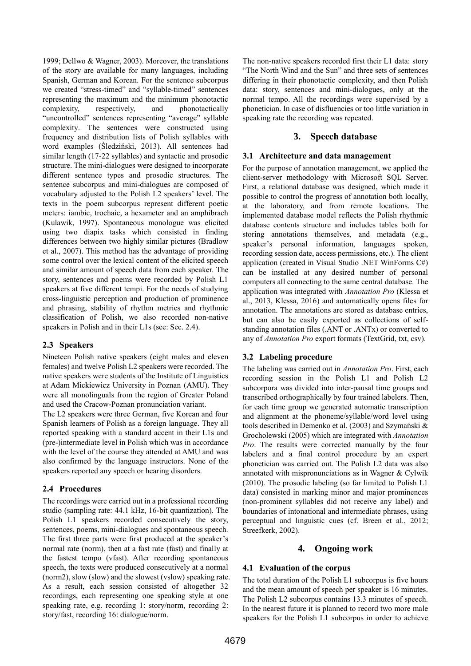1999; Dellwo & Wagner, 2003). Moreover, the translations of the story are available for many languages, including Spanish, German and Korean. For the sentence subcorpus we created "stress-timed" and "syllable-timed" sentences representing the maximum and the minimum phonotactic complexity, respectively, and phonotactically "uncontrolled" sentences representing "average" syllable complexity. The sentences were constructed using frequency and distribution lists of Polish syllables with word examples (Śledziński, 2013). All sentences had similar length (17-22 syllables) and syntactic and prosodic structure. The mini-dialogues were designed to incorporate different sentence types and prosodic structures. The sentence subcorpus and mini-dialogues are composed of vocabulary adjusted to the Polish L2 speakers' level. The texts in the poem subcorpus represent different poetic meters: iambic, trochaic, a hexameter and an amphibrach (Kulawik, 1997). Spontaneous monologue was elicited using two diapix tasks which consisted in finding differences between two highly similar pictures (Bradlow et al., 2007). This method has the advantage of providing some control over the lexical content of the elicited speech and similar amount of speech data from each speaker. The story, sentences and poems were recorded by Polish L1 speakers at five different tempi. For the needs of studying cross-linguistic perception and production of prominence and phrasing, stability of rhythm metrics and rhythmic classification of Polish, we also recorded non-native speakers in Polish and in their L1s (see: Sec. 2.4).

### **2.3 Speakers**

Nineteen Polish native speakers (eight males and eleven females) and twelve Polish L2 speakers were recorded. The native speakers were students of the Institute of Linguistics at Adam Mickiewicz University in Poznan (AMU). They were all monolinguals from the region of Greater Poland and used the Cracow-Poznan pronunciation variant.

The L2 speakers were three German, five Korean and four Spanish learners of Polish as a foreign language. They all reported speaking with a standard accent in their L1s and (pre-)intermediate level in Polish which was in accordance with the level of the course they attended at AMU and was also confirmed by the language instructors. None of the speakers reported any speech or hearing disorders.

## **2.4 Procedures**

The recordings were carried out in a professional recording studio (sampling rate: 44.1 kHz, 16-bit quantization). The Polish L1 speakers recorded consecutively the story, sentences, poems, mini-dialogues and spontaneous speech. The first three parts were first produced at the speaker's normal rate (norm), then at a fast rate (fast) and finally at the fastest tempo (vfast). After recording spontaneous speech, the texts were produced consecutively at a normal (norm2), slow (slow) and the slowest (vslow) speaking rate. As a result, each session consisted of altogether 32 recordings, each representing one speaking style at one speaking rate, e.g. recording 1: story/norm, recording 2: story/fast, recording 16: dialogue/norm.

The non-native speakers recorded first their L1 data: story "The North Wind and the Sun" and three sets of sentences differing in their phonotactic complexity, and then Polish data: story, sentences and mini-dialogues, only at the normal tempo. All the recordings were supervised by a phonetician. In case of disfluencies or too little variation in speaking rate the recording was repeated.

# **3. Speech database**

### **3.1 Architecture and data management**

For the purpose of annotation management, we applied the client-server methodology with Microsoft SQL Server. First, a relational database was designed, which made it possible to control the progress of annotation both locally, at the laboratory, and from remote locations. The implemented database model reflects the Polish rhythmic database contents structure and includes tables both for storing annotations themselves, and metadata (e.g., speaker's personal information, languages spoken, recording session date, access permissions, etc.). The client application (created in Visual Studio .NET WinForms C#) can be installed at any desired number of personal computers all connecting to the same central database. The application was integrated with *Annotation Pro* (Klessa et al., 2013, Klessa, 2016) and automatically opens files for annotation. The annotations are stored as database entries, but can also be easily exported as collections of selfstanding annotation files (.ANT or .ANTx) or converted to any of *Annotation Pro* export formats (TextGrid, txt, csv).

## **3.2 Labeling procedure**

The labeling was carried out in *Annotation Pro*. First, each recording session in the Polish L1 and Polish L2 subcorpora was divided into inter-pausal time groups and transcribed orthographically by four trained labelers. Then, for each time group we generated automatic transcription and alignment at the phoneme/syllable/word level using tools described in Demenko et al. (2003) and Szymański & Grocholewski (2005) which are integrated with *Annotation Pro*. The results were corrected manually by the four labelers and a final control procedure by an expert phonetician was carried out. The Polish L2 data was also annotated with mispronunciations as in Wagner & Cylwik (2010). The prosodic labeling (so far limited to Polish L1 data) consisted in marking minor and major prominences (non-prominent syllables did not receive any label) and boundaries of intonational and intermediate phrases, using perceptual and linguistic cues (cf. Breen et al., 2012; Streefkerk, 2002).

## **4. Ongoing work**

## **4.1 Evaluation of the corpus**

The total duration of the Polish L1 subcorpus is five hours and the mean amount of speech per speaker is 16 minutes. The Polish L2 subcorpus contains 13.3 minutes of speech. In the nearest future it is planned to record two more male speakers for the Polish L1 subcorpus in order to achieve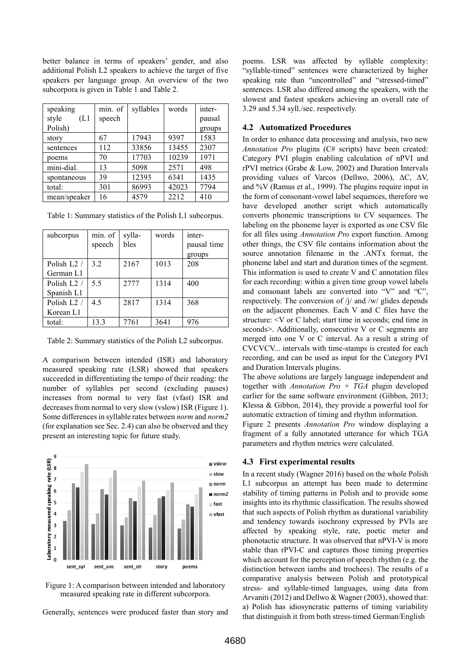better balance in terms of speakers' gender, and also additional Polish L2 speakers to achieve the target of five speakers per language group. An overview of the two subcorpora is given in Table 1 and Table 2.

| speaking     | min. of | syllables | words | inter- |
|--------------|---------|-----------|-------|--------|
| style<br>(L1 | speech  |           |       | pausal |
| Polish)      |         |           |       | groups |
| story        | 67      | 17943     | 9397  | 1583   |
| sentences    | 112     | 33856     | 13455 | 2307   |
| poems        | 70      | 17703     | 10239 | 1971   |
| mini-dial.   | 13      | 5098      | 2571  | 498    |
| spontaneous  | 39      | 12393     | 6341  | 1435   |
| total:       | 301     | 86993     | 42023 | 7794   |
| mean/speaker | 16      | 4579      | 2212  | 410    |

Table 1: Summary statistics of the Polish L1 subcorpus.

| subcorpus               | min. of | sylla- | words | inter-      |
|-------------------------|---------|--------|-------|-------------|
|                         | speech  | bles   |       | pausal time |
|                         |         |        |       | groups      |
| Polish L <sub>2</sub> / | 3.2     | 2167   | 1013  | 208         |
| German L1               |         |        |       |             |
| Polish L <sub>2</sub> / | 5.5     | 2777   | 1314  | 400         |
| Spanish L1              |         |        |       |             |
| Polish L <sub>2</sub> / | 4.5     | 2817   | 1314  | 368         |
| Korean L1               |         |        |       |             |
| total:                  | 13.3    | 7761   | 3641  | 976         |

Table 2: Summary statistics of the Polish L2 subcorpus.

A comparison between intended (ISR) and laboratory measured speaking rate (LSR) showed that speakers succeeded in differentiating the tempo of their reading: the number of syllables per second (excluding pauses) increases from normal to very fast (vfast) ISR and decreases from normal to very slow (vslow) ISR (Figure 1). Some differences in syllable rates between *norm* and *norm2*  (for explanation see Sec. 2.4) can also be observed and they present an interesting topic for future study.



Figure 1: A comparison between intended and laboratory measured speaking rate in different subcorpora.

Generally, sentences were produced faster than story and

poems. LSR was affected by syllable complexity: "syllable-timed" sentences were characterized by higher speaking rate than "uncontrolled" and "stressed-timed" sentences. LSR also differed among the speakers, with the slowest and fastest speakers achieving an overall rate of 3.29 and 5.34 syll./sec. respectively.

### **4.2 Automatized Procedures**

In order to enhance data processing and analysis, two new *Annotation Pro* plugins (C# scripts) have been created: Category PVI plugin enabling calculation of nPVI and rPVI metrics (Grabe & Low, 2002) and Duration Intervals providing values of Varcos (Dellwo, 2006), ΔC, ΔV, and %V (Ramus et al., 1999). The plugins require input in the form of consonant-vowel label sequences, therefore we have developed another script which automatically converts phonemic transcriptions to CV sequences. The labeling on the phoneme layer is exported as one CSV file for all files using *Annotation Pro* export function. Among other things, the CSV file contains information about the source annotation filename in the .ANTx format, the phoneme label and start and duration times of the segment. This information is used to create V and C annotation files for each recording: within a given time group vowel labels and consonant labels are converted into "V" and "C", respectively. The conversion of /j/ and /w/ glides depends on the adjacent phonemes. Each V and C files have the structure: <V or C label; start time in seconds; end time in seconds>. Additionally, consecutive V or C segments are merged into one V or C interval. As a result a string of CVCVCV... intervals with time-stamps is created for each recording, and can be used as input for the Category PVI and Duration Intervals plugins.

The above solutions are largely language independent and together with *Annotation Pro + TGA* plugin developed earlier for the same software environment (Gibbon, 2013; Klessa & Gibbon, 2014), they provide a powerful tool for automatic extraction of timing and rhythm information.

Figure 2 presents *Annotation Pro* window displaying a fragment of a fully annotated utterance for which TGA parameters and rhythm metrics were calculated.

#### **4.3 First experimental results**

In a recent study (Wagner 2016) based on the whole Polish L1 subcorpus an attempt has been made to determine stability of timing patterns in Polish and to provide some insights into its rhythmic classification. The results showed that such aspects of Polish rhythm as durational variability and tendency towards isochrony expressed by PVIs are affected by speaking style, rate, poetic meter and phonotactic structure. It was observed that nPVI-V is more stable than rPVI-C and captures those timing properties which account for the perception of speech rhythm (e.g. the distinction between iambs and trochees). The results of a comparative analysis between Polish and prototypical stress- and syllable-timed languages, using data from Arvaniti (2012) and Dellwo & Wagner (2003), showed that: a) Polish has idiosyncratic patterns of timing variability that distinguish it from both stress-timed German/English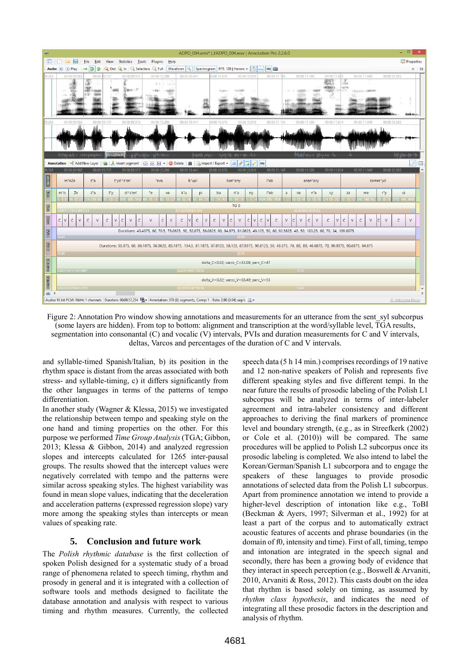

Figure 2: Annotation Pro window showing annotations and measurements for an utterance from the sent syl subcorpus (some layers are hidden). From top to bottom: alignment and transcription at the word/syllable level, TGA results, segmentation into consonantal (C) and vocalic (V) intervals, PVIs and duration measurements for C and V intervals, deltas, Varcos and percentages of the duration of C and V intervals.

and syllable-timed Spanish/Italian, b) its position in the rhythm space is distant from the areas associated with both stress- and syllable-timing, c) it differs significantly from the other languages in terms of the patterns of tempo differentiation.

In another study (Wagner & Klessa, 2015) we investigated the relationship between tempo and speaking style on the one hand and timing properties on the other. For this purpose we performed *Time Group Analysis* (TGA; Gibbon, 2013; Klessa & Gibbon, 2014) and analyzed regression slopes and intercepts calculated for 1265 inter-pausal groups. The results showed that the intercept values were negatively correlated with tempo and the patterns were similar across speaking styles. The highest variability was found in mean slope values, indicating that the deceleration and acceleration patterns (expressed regression slope) vary more among the speaking styles than intercepts or mean values of speaking rate.

## **5. Conclusion and future work**

The *Polish rhythmic database* is the first collection of spoken Polish designed for a systematic study of a broad range of phenomena related to speech timing, rhythm and prosody in general and it is integrated with a collection of software tools and methods designed to facilitate the database annotation and analysis with respect to various timing and rhythm measures. Currently, the collected

speech data (5 h 14 min.) comprises recordings of 19 native and 12 non-native speakers of Polish and represents five different speaking styles and five different tempi. In the near future the results of prosodic labeling of the Polish L1 subcorpus will be analyzed in terms of inter-labeler agreement and intra-labeler consistency and different approaches to deriving the final markers of prominence level and boundary strength, (e.g., as in Streefkerk (2002) or Cole et al. (2010)) will be compared. The same procedures will be applied to Polish L2 subcorpus once its prosodic labeling is completed. We also intend to label the Korean/German/Spanish L1 subcorpora and to engage the speakers of these languages to provide prosodic annotations of selected data from the Polish L1 subcorpus. Apart from prominence annotation we intend to provide a higher-level description of intonation like e.g., ToBI (Beckman & Ayers, 1997; Silverman et al., 1992) for at least a part of the corpus and to automatically extract acoustic features of accents and phrase boundaries (in the domain of f0, intensity and time). First of all, timing, tempo and intonation are integrated in the speech signal and secondly, there has been a growing body of evidence that they interact in speech perception (e.g., Boswell & Arvaniti, 2010, Arvaniti & Ross, 2012). This casts doubt on the idea that rhythm is based solely on timing, as assumed by *rhythm class hypothesis*, and indicates the need of integrating all these prosodic factors in the description and analysis of rhythm.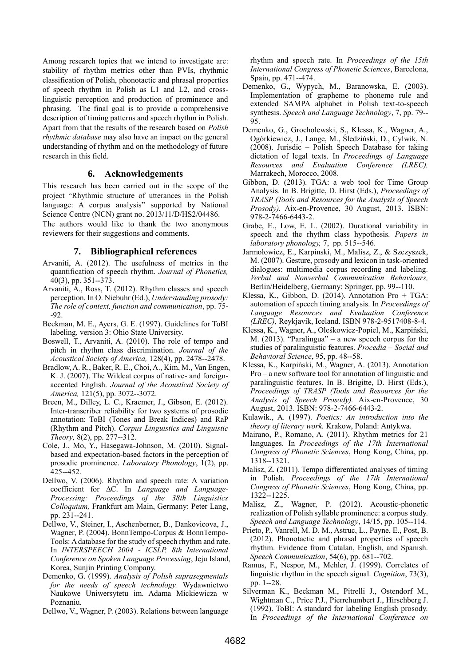Among research topics that we intend to investigate are: stability of rhythm metrics other than PVIs, rhythmic classification of Polish, phonotactic and phrasal properties of speech rhythm in Polish as L1 and L2, and crosslinguistic perception and production of prominence and phrasing. The final goal is to provide a comprehensive description of timing patterns and speech rhythm in Polish. Apart from that the results of the research based on *Polish rhythmic database* may also have an impact on the general understanding of rhythm and on the methodology of future research in this field.

#### **6. Acknowledgements**

This research has been carried out in the scope of the project "Rhythmic structure of utterances in the Polish language: A corpus analysis" supported by National Science Centre (NCN) grant no. 2013/11/D/HS2/04486.

The authors would like to thank the two anonymous reviewers for their suggestions and comments.

#### **7. Bibliographical references**

- Arvaniti, A. (2012). The usefulness of metrics in the quantification of speech rhythm. *Journal of Phonetics,*  40(3), pp. 351--373.
- Arvaniti, A., Ross, T. (2012). Rhythm classes and speech perception. In O. Niebuhr (Ed.), *Understanding prosody: The role of context, function and communication*, pp. 75- -92.
- Beckman, M. E., Ayers, G. E. (1997). Guidelines for ToBI labeling, version 3: Ohio State University.
- Boswell, T., Arvaniti, A. (2010). The role of tempo and pitch in rhythm class discrimination. *Journal of the Acoustical Society of America,* 128(4), pp. 2478--2478.
- Bradlow, A. R., Baker, R. E., Choi, A., Kim, M., Van Engen, K. J. (2007). The Wildcat corpus of native- and foreignaccented English. *Journal of the Acoustical Society of America,* 121(5), pp. 3072--3072.
- Breen, M., Dilley, L. C., Kraemer, J., Gibson, E. (2012). Inter-transcriber reliability for two systems of prosodic annotation: ToBI (Tones and Break Indices) and RaP (Rhythm and Pitch). *Corpus Linguistics and Linguistic Theory,* 8(2), pp. 277--312.
- Cole, J., Mo, Y., Hasegawa-Johnson, M. (2010). Signalbased and expectation-based factors in the perception of prosodic prominence. *Laboratory Phonology*, 1(2), pp. 425--452.
- Dellwo, V. (2006). Rhythm and speech rate: A variation coefficient for ∆C. In *Language and Language-Processing: Proceedings of the 38th Linguistics Colloquium,* Frankfurt am Main, Germany: Peter Lang, pp. 231--241.
- Dellwo, V., Steiner, I., Aschenberner, B., Dankovicova, J., Wagner, P. (2004). BonnTempo-Corpus & BonnTempo-Tools: A database for the study of speech rhythm and rate. In *INTERSPEECH 2004 - ICSLP, 8th International Conference on Spoken Language Processing*, Jeju Island, Korea, Sunjin Printing Company.
- Demenko, G. (1999). *Analysis of Polish suprasegmentals for the needs of speech technology.* Wydawnictwo Naukowe Uniwersytetu im. Adama Mickiewicza w Poznaniu.
- Dellwo, V., Wagner, P. (2003). Relations between language

rhythm and speech rate. In *Proceedings of the 15th International Congress of Phonetic Sciences*, Barcelona, Spain, pp. 471--474.

- Demenko, G., Wypych, M., Baranowska, E. (2003). Implementation of grapheme to phoneme rule and extended SAMPA alphabet in Polish text-to-speech synthesis. *Speech and Language Technology*, 7, pp. 79-- 95.
- Demenko, G., Grocholewski, S., Klessa, K., Wagner, A., Ogórkiewicz, J., Lange, M., Śledziński, D., Cylwik, N. (2008). Jurisdic – Polish Speech Database for taking dictation of legal texts. In *Proceedings of Language Resources and Evaluation Conference (LREC),* Marrakech, Morocco, 2008.
- Gibbon, D. (2013). TGA: a web tool for Time Group Analysis. In B. Brigitte, D. Hirst (Eds.), *Proceedings of TRASP (Tools and Resources for the Analysis of Speech Prosody).* Aix-en-Provence, 30 August, 2013. ISBN: 978-2-7466-6443-2.
- Grabe, E., Low, E. L. (2002). Durational variability in speech and the rhythm class hypothesis. *Papers in laboratory phonology,* 7, pp. 515--546.
- Jarmołowicz, E., Karpinski, M., Malisz, Z., & Szczyszek, M. (2007). Gesture, prosody and lexicon in task-oriented dialogues: multimedia corpus recording and labeling. *Verbal and Nonverbal Communication Behaviours,* Berlin/Heidelberg, Germany: Springer, pp. 99--110.
- Klessa, K., Gibbon, D. (2014). Annotation Pro + TGA: automation of speech timing analysis. In *Proceedings of Language Resources and Evaluation Conference (LREC),* Reykjavik, Iceland. ISBN 978-2-9517408-8-4.
- Klessa, K., Wagner, A., Oleśkowicz-Popiel, M., Karpiński, M. (2013). "Paralingua" – a new speech corpus for the studies of paralinguistic features. *Procedia – Social and Behavioral Science*, 95, pp. 48--58.
- Klessa, K., Karpiński, M., Wagner, A. (2013). Annotation Pro – a new software tool for annotation of linguistic and paralinguistic features. In B. Brigitte, D. Hirst (Eds.), *Proceedings of TRASP (Tools and Resources for the Analysis of Speech Prosody).* Aix-en-Provence, 30 August, 2013. ISBN: 978-2-7466-6443-2.
- Kulawik., A. (1997). *Poetics: An introduction into the theory of literary work.* Krakow, Poland: Antykwa.
- Mairano, P., Romano, A. (2011). Rhythm metrics for 21 languages. In *Proceedings of the 17th International Congress of Phonetic Sciences*, Hong Kong, China, pp. 1318--1321.
- Malisz, Z. (2011). Tempo differentiated analyses of timing in Polish. *Proceedings of the 17th International Congress of Phonetic Sciences*, Hong Kong, China, pp. 1322--1225.
- Malisz, Z., Wagner, P. (2012). Acoustic-phonetic realization of Polish syllable prominence: a corpus study. *Speech and Language Technology*, 14/15, pp. 105--114.
- Prieto, P., Vanrell, M. D. M., Astruc, L., Payne, E., Post, B. (2012). Phonotactic and phrasal properties of speech rhythm. Evidence from Catalan, English, and Spanish. *Speech Communication*, 54(6), pp. 681--702.
- Ramus, F., Nespor, M., Mehler, J. (1999). Correlates of linguistic rhythm in the speech signal. *Cognition*, 73(3), pp. 1--28.
- Silverman K., Beckman M., Pitrelli J., Ostendorf M., Wightman C., Price P.J., Pierrehumbert J., Hirschberg J. (1992). ToBI: A standard for labeling English prosody. In *Proceedings of the International Conference on*